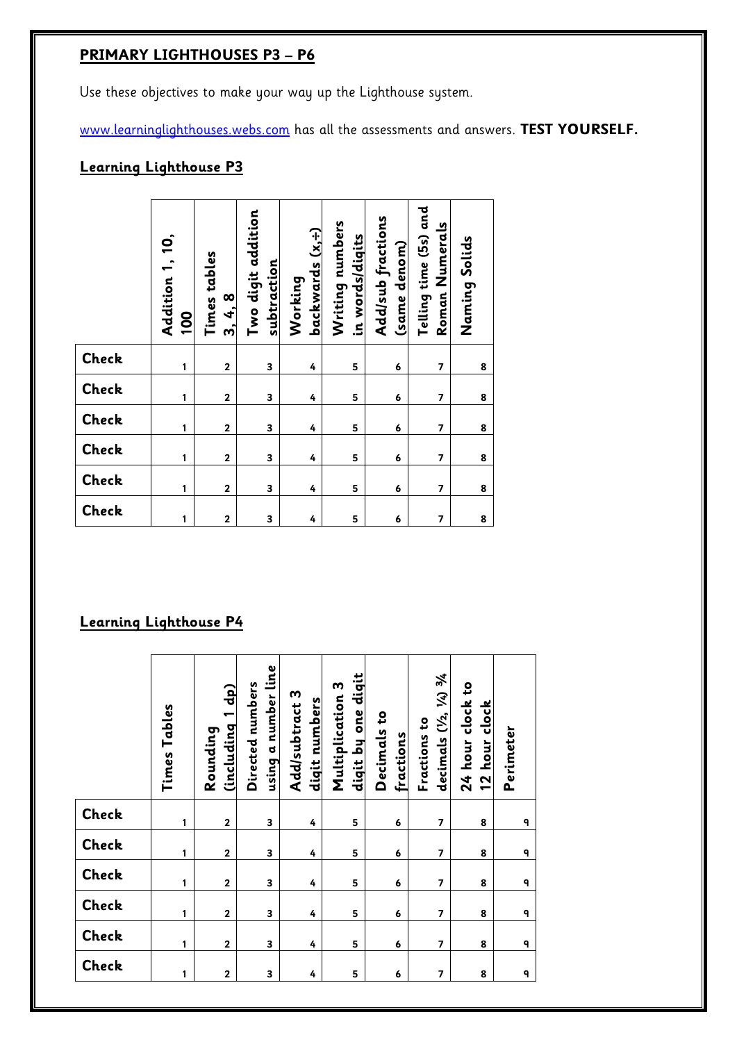# **PRIMARY LIGHTHOUSES P3 – P6**

Use these objectives to make your way up the Lighthouse system.

[www.learninglighthouses.webs.com](http://www.learninglighthouses.webs.com/) has all the assessments and answers. **TEST YOURSELF.**

## **Learning Lighthouse P3**

|                               | Addition 1, 10,<br><u>001</u> | Times tables<br>3, 4, 8 | Two digit addition<br>subtraction | $backwards(x, \frac{1}{2})$<br>Working | Writing numbers<br>in words/diqits | Add/sub fractions<br>(same denom) | Telling time (5s) and<br>Roman Numerals | Naming Solids |
|-------------------------------|-------------------------------|-------------------------|-----------------------------------|----------------------------------------|------------------------------------|-----------------------------------|-----------------------------------------|---------------|
| Check                         | 1                             | $\mathbf 2$             | 3                                 | 4                                      | 5                                  | 6                                 | 7                                       | 8             |
| Check                         | 1                             | $\overline{2}$          | 3                                 | 4                                      | 5                                  | 6                                 | $\overline{7}$                          | 8             |
| Check                         | 1                             | $\mathbf 2$             | 3                                 | 4                                      | 5                                  | 6                                 | 7                                       | 8             |
| Check                         | 1                             | $\mathbf{2}$            | 3                                 | 4                                      | 5                                  | 6                                 | $\overline{7}$                          | 8             |
| Check                         | 1                             | $\mathbf 2$             | 3                                 | 4                                      | 5                                  | 6                                 | 7                                       | 8             |
| Check                         | 1                             | $\mathbf 2$             | 3                                 | 4                                      | 5                                  | 6                                 | $\overline{\phantom{a}}$                | 8             |
| <u>Learning Lighthouse P4</u> |                               |                         |                                   |                                        |                                    |                                   |                                         |               |

|       | Times Tables | <b>Qp</b><br>Cincluding 1<br>Rounding | using a number line<br>Directed numbers | Add/subtract 3<br>digit numbers | diqit by one diqit<br>Multiplication 3 | S,<br>Decimals<br>fractions | $(V_2, V_4)$ 3/4<br>Fractions to<br>decimals | 24 hour clock to<br>12 hour clock | Perimeter |
|-------|--------------|---------------------------------------|-----------------------------------------|---------------------------------|----------------------------------------|-----------------------------|----------------------------------------------|-----------------------------------|-----------|
| Check | 1            | $\mathbf 2$                           | 3                                       | 4                               | 5                                      | 6                           | $\overline{7}$                               | 8                                 | ٩         |
| Check | 1            | $\mathbf{2}$                          | 3                                       | 4                               | 5                                      | 6                           | $\overline{7}$                               | 8                                 | ٩         |
| Check | 1            | $\mathbf 2$                           | 3                                       | 4                               | 5                                      | 6                           | $\overline{7}$                               | 8                                 | ٩         |
| Check | 1            | $\mathbf{2}$                          | 3                                       | 4                               | 5                                      | 6                           | $\overline{7}$                               | 8                                 | 9         |
| Check | 1            | $\overline{\mathbf{2}}$               | 3                                       | 4                               | 5                                      | 6                           | $\overline{7}$                               | 8                                 | 9         |
| Check | 1            | $\mathbf 2$                           | 3                                       | 4                               | 5                                      | 6                           | $\overline{7}$                               | 8                                 | ٩         |